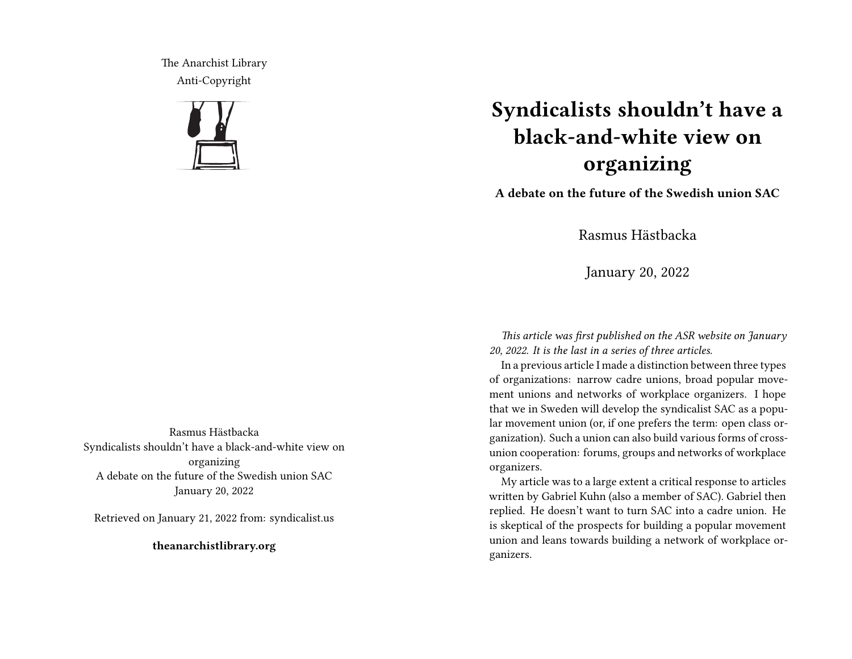The Anarchist Library Anti-Copyright



## **Syndicalists shouldn't have a black-and-white view on organizing**

**A debate on the future of the Swedish union SAC**

Rasmus Hästbacka

January 20, 2022

*This article was first published on the ASR website on January 20, 2022. It is the last in a series of three articles.*

In a previous article I made a distinction between three types of organizations: narrow cadre unions, broad popular movement unions and networks of workplace organizers. I hope that we in Sweden will develop the syndicalist SAC as a popular movement union (or, if one prefers the term: open class organization). Such a union can also build various forms of crossunion cooperation: forums, groups and networks of workplace organizers.

My article was to a large extent a critical response to articles written by Gabriel Kuhn (also a member of SAC). Gabriel then replied. He doesn't want to turn SAC into a cadre union. He is skeptical of the prospects for building a popular movement union and leans towards building a network of workplace organizers.

Rasmus Hästbacka Syndicalists shouldn't have a black-and-white view on organizing A debate on the future of the Swedish union SAC January 20, 2022

Retrieved on January 21, 2022 from: syndicalist.us

**theanarchistlibrary.org**